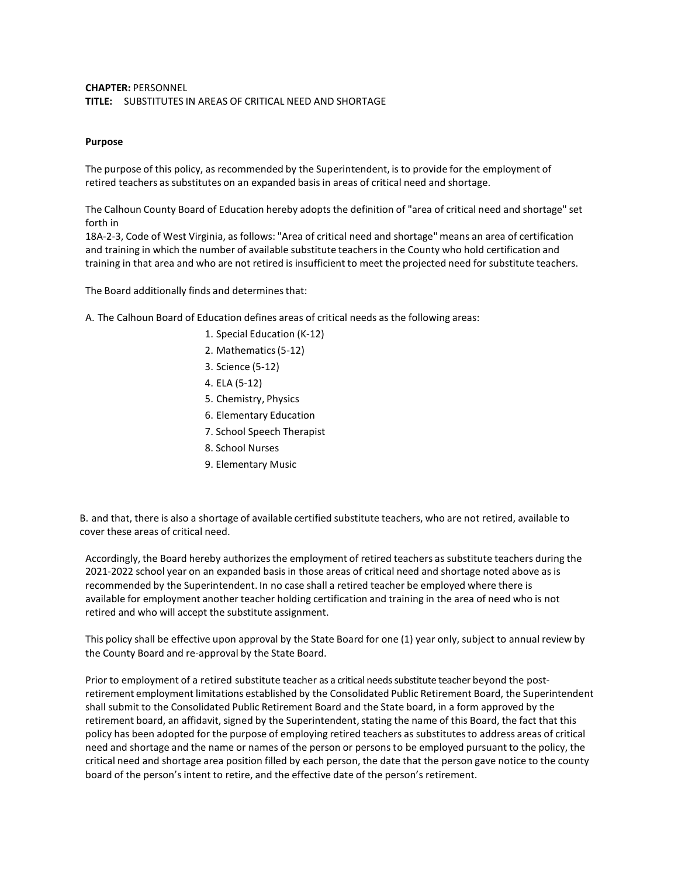## **CHAPTER:** PERSONNEL **TITLE:** SUBSTITUTES IN AREAS OF CRITICAL NEED AND SHORTAGE

## **Purpose**

The purpose of this policy, as recommended by the Superintendent, is to provide for the employment of retired teachers as substitutes on an expanded basis in areas of critical need and shortage.

The Calhoun County Board of Education hereby adopts the definition of "area of critical need and shortage" set forth in

18A-2-3, Code of West Virginia, as follows: "Area of critical need and shortage" means an area of certification and training in which the number of available substitute teachersin the County who hold certification and training in that area and who are not retired is insufficient to meet the projected need for substitute teachers.

The Board additionally finds and determines that:

A. The Calhoun Board of Education defines areas of critical needs as the following areas:

- 1. Special Education (K-12)
- 2. Mathematics(5-12)
- 3. Science (5-12)
- 4. ELA (5-12)
- 5. Chemistry, Physics
- 6. Elementary Education
- 7. School Speech Therapist
- 8. School Nurses
- 9. Elementary Music

B. and that, there is also a shortage of available certified substitute teachers, who are not retired, available to cover these areas of critical need.

Accordingly, the Board hereby authorizesthe employment of retired teachers as substitute teachers during the 2021-2022 school year on an expanded basis in those areas of critical need and shortage noted above as is recommended by the Superintendent. In no case shall a retired teacher be employed where there is available for employment another teacher holding certification and training in the area of need who is not retired and who will accept the substitute assignment.

This policy shall be effective upon approval by the State Board for one (1) year only, subject to annual review by the County Board and re-approval by the State Board.

Prior to employment of a retired substitute teacher as a critical needs substitute teacher beyond the postretirement employment limitations established by the Consolidated Public Retirement Board, the Superintendent shall submit to the Consolidated Public Retirement Board and the State board, in a form approved by the retirement board, an affidavit, signed by the Superintendent, stating the name of this Board, the fact that this policy has been adopted for the purpose of employing retired teachers as substitutesto address areas of critical need and shortage and the name or names of the person or persons to be employed pursuant to the policy, the critical need and shortage area position filled by each person, the date that the person gave notice to the county board of the person'sintent to retire, and the effective date of the person's retirement.